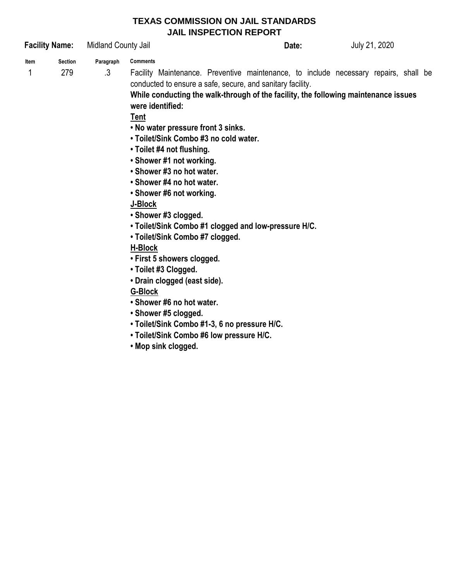# **TEXAS COMMISSION ON JAIL STANDARDS JAIL INSPECTION REPORT**

| <b>Facility Name:</b> |                | Midland County Jail    |                                                                                                                                                                                                                                                                                                                                                                                                                                                                                                                                                                                                                                                                                                                                                                                                           | Date: | July 21, 2020 |  |  |  |  |
|-----------------------|----------------|------------------------|-----------------------------------------------------------------------------------------------------------------------------------------------------------------------------------------------------------------------------------------------------------------------------------------------------------------------------------------------------------------------------------------------------------------------------------------------------------------------------------------------------------------------------------------------------------------------------------------------------------------------------------------------------------------------------------------------------------------------------------------------------------------------------------------------------------|-------|---------------|--|--|--|--|
| ltem                  | <b>Section</b> |                        | <b>Comments</b>                                                                                                                                                                                                                                                                                                                                                                                                                                                                                                                                                                                                                                                                                                                                                                                           |       |               |  |  |  |  |
| 1                     | 279            | Paragraph<br>$\cdot$ 3 | Facility Maintenance. Preventive maintenance, to include necessary repairs, shall be<br>conducted to ensure a safe, secure, and sanitary facility.<br>While conducting the walk-through of the facility, the following maintenance issues<br>were identified:<br>Tent<br>. No water pressure front 3 sinks.<br>• Toilet/Sink Combo #3 no cold water.<br>• Toilet #4 not flushing.<br>• Shower #1 not working.<br>• Shower #3 no hot water.<br>• Shower #4 no hot water.<br>• Shower #6 not working.<br>J-Block<br>• Shower #3 clogged.<br>. Toilet/Sink Combo #1 clogged and low-pressure H/C.<br>• Toilet/Sink Combo #7 clogged.<br><b>H-Block</b><br>• First 5 showers clogged.<br>• Toilet #3 Clogged.<br>• Drain clogged (east side).<br>G-Block<br>• Shower #6 no hot water.<br>• Shower #5 clogged. |       |               |  |  |  |  |
|                       |                |                        | • Toilet/Sink Combo #1-3, 6 no pressure H/C.<br>. Toilet/Sink Combo #6 low pressure H/C.<br>• Mop sink clogged.                                                                                                                                                                                                                                                                                                                                                                                                                                                                                                                                                                                                                                                                                           |       |               |  |  |  |  |